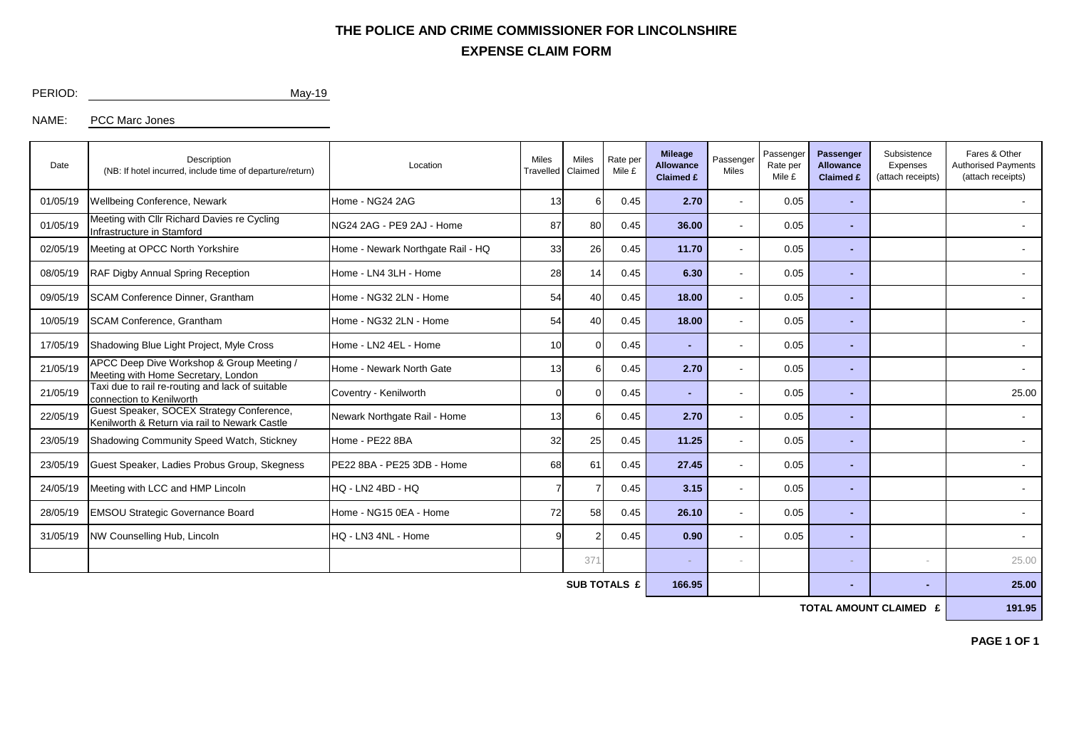## **EXPENSE CLAIM FORM THE POLICE AND CRIME COMMISSIONER FOR LINCOLNSHIRE**

PERIOD: May-19

NAME: PCC Marc Jones

| Date         | Description<br>(NB: If hotel incurred, include time of departure/return)                   | Location                          | <b>Miles</b><br>Travelled | Miles<br>Claimed | Rate per<br>Mile £ | <b>Mileage</b><br><b>Allowance</b><br><b>Claimed £</b> | Passenger<br>Miles       | Passenger<br>Rate per<br>Mile £ | Passenger<br><b>Allowance</b><br><b>Claimed £</b> | Subsistence<br>Expenses<br>(attach receipts) | Fares & Other<br><b>Authorised Payments</b><br>(attach receipts) |  |
|--------------|--------------------------------------------------------------------------------------------|-----------------------------------|---------------------------|------------------|--------------------|--------------------------------------------------------|--------------------------|---------------------------------|---------------------------------------------------|----------------------------------------------|------------------------------------------------------------------|--|
| 01/05/19     | Wellbeing Conference, Newark                                                               | Home - NG24 2AG                   | 13                        | 6                | 0.45               | 2.70                                                   | $\overline{\phantom{a}}$ | 0.05                            |                                                   |                                              | $\blacksquare$                                                   |  |
| 01/05/19     | Meeting with Cllr Richard Davies re Cycling<br>Infrastructure in Stamford                  | NG24 2AG - PE9 2AJ - Home         | 87                        | 80               | 0.45               | 36.00                                                  | $\overline{\phantom{a}}$ | 0.05                            |                                                   |                                              |                                                                  |  |
| 02/05/19     | Meeting at OPCC North Yorkshire                                                            | Home - Newark Northgate Rail - HQ | 33                        | 26               | 0.45               | 11.70                                                  | $\overline{\phantom{a}}$ | 0.05                            |                                                   |                                              |                                                                  |  |
| 08/05/19     | RAF Digby Annual Spring Reception                                                          | Home - LN4 3LH - Home             | 28                        | 14               | 0.45               | 6.30                                                   | $\overline{\phantom{a}}$ | 0.05                            | $\overline{\phantom{0}}$                          |                                              |                                                                  |  |
| 09/05/19     | <b>SCAM Conference Dinner, Grantham</b>                                                    | Home - NG32 2LN - Home            | 54                        | 40               | 0.45               | 18.00                                                  | $\overline{\phantom{a}}$ | 0.05                            |                                                   |                                              |                                                                  |  |
| 10/05/19     | <b>SCAM Conference, Grantham</b>                                                           | Home - NG32 2LN - Home            | 54                        | 40               | 0.45               | 18.00                                                  |                          | 0.05                            |                                                   |                                              |                                                                  |  |
| 17/05/19     | Shadowing Blue Light Project, Myle Cross                                                   | Home - LN2 4EL - Home             | 10 <sup>1</sup>           |                  | 0.45               | $\overline{\phantom{a}}$                               |                          | 0.05                            | $\overline{a}$                                    |                                              |                                                                  |  |
| 21/05/19     | APCC Deep Dive Workshop & Group Meeting /<br>Meeting with Home Secretary, London           | Home - Newark North Gate          | 13                        |                  | 0.45               | 2.70                                                   |                          | 0.05                            | $\overline{\phantom{0}}$                          |                                              |                                                                  |  |
| 21/05/19     | Taxi due to rail re-routing and lack of suitable<br>connection to Kenilworth               | Coventry - Kenilworth             | $\Omega$                  |                  | 0.45               | $\overline{\phantom{a}}$                               |                          | 0.05                            | $\overline{a}$                                    |                                              | 25.00                                                            |  |
| 22/05/19     | Guest Speaker, SOCEX Strategy Conference,<br>Kenilworth & Return via rail to Newark Castle | Newark Northgate Rail - Home      | 13                        |                  | 0.45               | 2.70                                                   | $\overline{\phantom{a}}$ | 0.05                            | $\overline{\phantom{0}}$                          |                                              |                                                                  |  |
| 23/05/19     | Shadowing Community Speed Watch, Stickney                                                  | Home - PE22 8BA                   | 32                        | 25               | 0.45               | 11.25                                                  | $\overline{\phantom{a}}$ | 0.05                            | $\blacksquare$                                    |                                              | $\overline{\phantom{a}}$                                         |  |
| 23/05/19     | Guest Speaker, Ladies Probus Group, Skegness                                               | PE22 8BA - PE25 3DB - Home        | 68                        | 61               | 0.45               | 27.45                                                  | $\overline{\phantom{a}}$ | 0.05                            | $\overline{\phantom{0}}$                          |                                              |                                                                  |  |
| 24/05/19     | Meeting with LCC and HMP Lincoln                                                           | HQ - LN2 4BD - HQ                 |                           |                  | 0.45               | 3.15                                                   | $\overline{\phantom{a}}$ | 0.05                            | $\blacksquare$                                    |                                              | $\overline{\phantom{a}}$                                         |  |
| 28/05/19     | EMSOU Strategic Governance Board                                                           | Home - NG15 0EA - Home            | 72                        | 58               | 0.45               | 26.10                                                  | $\overline{\phantom{a}}$ | 0.05                            | $\overline{\phantom{0}}$                          |                                              | $\overline{\phantom{a}}$                                         |  |
| 31/05/19     | NW Counselling Hub, Lincoln                                                                | HQ - LN3 4NL - Home               | 9                         |                  | 0.45               | 0.90                                                   | $\overline{\phantom{a}}$ | 0.05                            | $\overline{\phantom{0}}$                          |                                              | $\overline{\phantom{a}}$                                         |  |
|              |                                                                                            |                                   |                           | 371              |                    | $\sim$                                                 | $\overline{\phantom{a}}$ |                                 | $\sim$                                            | $\overline{\phantom{a}}$                     | 25.00                                                            |  |
| SUB TOTALS £ |                                                                                            |                                   |                           |                  |                    | 166.95                                                 |                          |                                 |                                                   |                                              | 25.00                                                            |  |

**TOTAL AMOUNT CLAIMED £** 191.95

**PAGE 1 OF 1**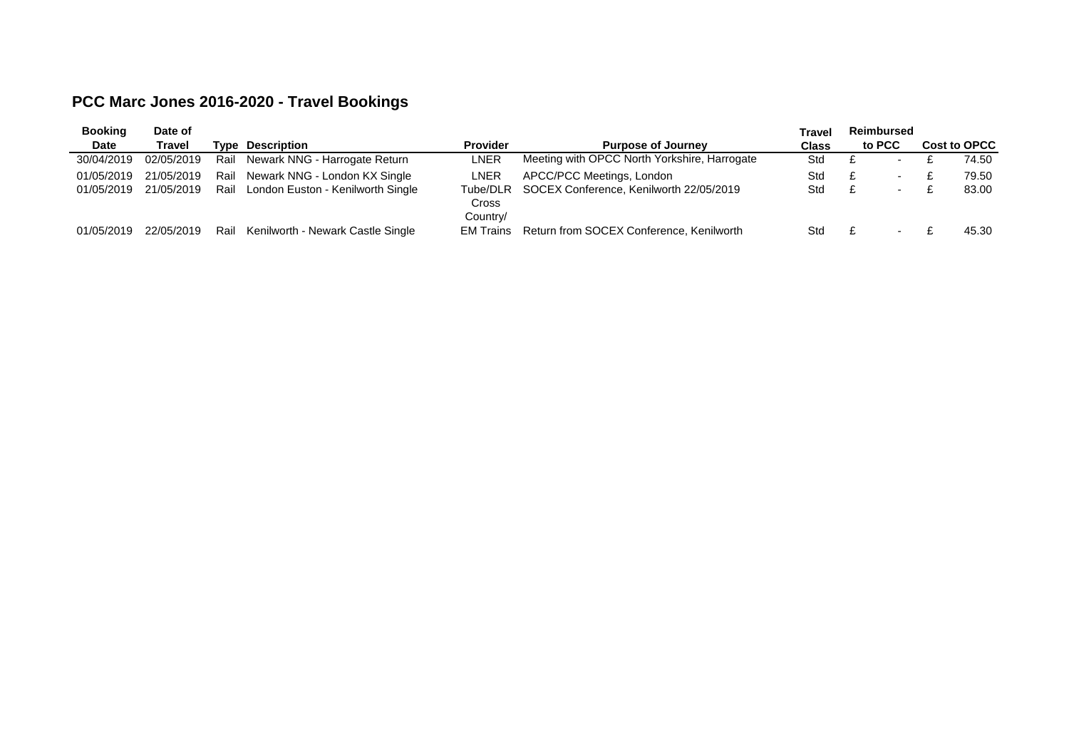## **PCC Marc Jones 2016-2020 - Travel Bookings**

| <b>Booking</b> | Date of    |      |                                   |                       |                                                  | Travel | <b>Reimbursed</b> |                          |              |       |
|----------------|------------|------|-----------------------------------|-----------------------|--------------------------------------------------|--------|-------------------|--------------------------|--------------|-------|
| Date           | Travel     |      | <b>Type Description</b>           | <b>Provider</b>       | <b>Purpose of Journey</b>                        |        | to PCC            |                          | Cost to OPCC |       |
| 30/04/2019     | 02/05/2019 | Rail | Newark NNG - Harrogate Return     | LNER                  | Meeting with OPCC North Yorkshire, Harrogate     | Std    |                   | $\sim$                   |              | 74.50 |
| 01/05/2019     | 21/05/2019 | Rail | Newark NNG - London KX Single     | LNER                  | APCC/PCC Meetings, London                        | Std    |                   | $\overline{\phantom{a}}$ |              | 79.50 |
| 01/05/2019     | 21/05/2019 | Rail | London Euston - Kenilworth Single | Cross                 | Tube/DLR SOCEX Conference, Kenilworth 22/05/2019 | Std    |                   | $\overline{\phantom{a}}$ |              | 83.00 |
| 01/05/2019     | 22/05/2019 | Rail | Kenilworth - Newark Castle Single | Country/<br>EM Trains | Return from SOCEX Conference, Kenilworth         | Std    |                   |                          |              | 45.30 |